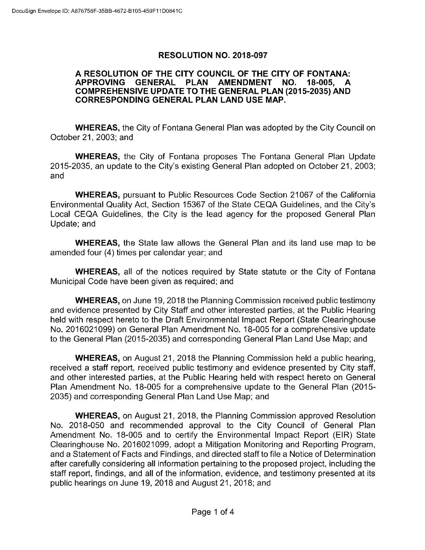### RESOLUTION NO. 2018-097

### A RESOLUTION OF THE CITY COUNCIL OF THE CITY OF FONTANA: APPROVING GENERAL PLAN AMENDMENT NO. 18-005, COMPREHENSIVE UPDATE TO THE GENERAL PLAN (2015-2035) AND CORRESPONDING GENERAL PLAN LAND USE MAP.

WHEREAS, the City of Fontana General Plan was adopted by the City Council on October 21, 2003; and

WHEREAS, the City of Fontana proposes The Fontana General Plan Update 2015- 2035, an update to the City's existing General Plan adopted on October 21, 2003; and

WHEREAS, pursuant to Public Resources Code Section 21067 of the California Environmental Quality Act, Section 15367 of the State CEQA Guidelines, and the City's Local CEQA Guidelines, the City is the lead agency for the proposed General Plan Update; and

WHEREAS, the State law allows the General Plan and its land use map to be amended four (4) times per calendar year; and

WHEREAS, all of the notices required by State statute or the City of Fontana Municipal Code have been given as required; and

WHEREAS, on June 19, 2018 the Planning Commission received public testimony and evidence presented by City Staff and other interested parties, at the Public Hearing held with respect hereto to the Draft Environmental Impact Report (State Clearinghouse No. 2016021099) on General Plan Amendment No. 18- 005 for a comprehensive update to the General Plan (2015-2035) and corresponding General Plan Land Use Map; and

WHEREAS, on August 21, 2018 the Planning Commission held a public hearing, received a staff report, received public testimony and evidence presented by City staff, and other interested parties, at the Public Hearing held with respect hereto on General Plan Amendment No. 18-005 for a comprehensive update to the General Plan (2015-2035) and corresponding General Plan Land Use Map; and

WHEREAS, on August 21, 2018, the Planning Commission approved Resolution No. 2018-050 and recommended approval to the City Council of General Plan Amendment No. 18-005 and to certify the Environmental Impact Report (EIR) State Clearinghouse No. 2016021099, adopt a Mitigation Monitoring and Reporting Program, and a Statement of Facts and Findings, and directed staff to file a Notice of Determination after carefully considering all information pertaining to the proposed project, including the staff report, findings, and all of the information, evidence, and testimony presented at its public hearings on June 19, 2018 and August 21, 2018; and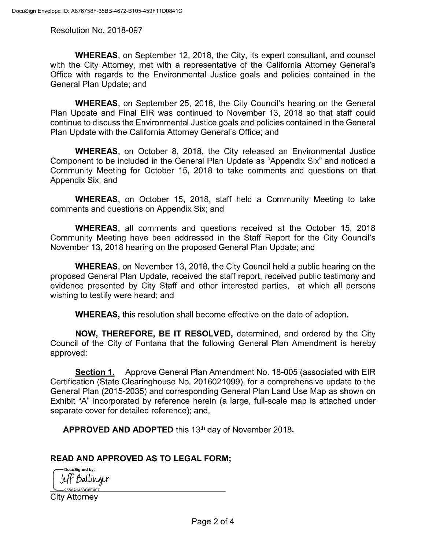Resolution No. 2018-097

WHEREAS, on September 12, 2018, the City, its expert consultant, and counsel with the City Attorney, met with a representative of the California Attorney General's Office with regards to the Environmental Justice goals and policies contained in the General Plan Update; and

WHEREAS, on September 25, 2018, the City Council's hearing on the General Plan Update and Final EIR was continued to November 13, 2018 so that staff could continue to discuss the Environmental Justice goals and policies contained in the General Plan Update with the California Attorney General's Office; and

WHEREAS, on October 8, 2018, the City released an Environmental Justice Component to be included in the General Plan Update as " Appendix Six" and noticed a Community Meeting for October 15, 2018 to take comments and questions on that Appendix Six; and

WHEREAS, on October 15, 2018, staff held a Community Meeting to take comments and questions on Appendix Six; and

WHEREAS, all comments and questions received at the October 15, 2018 Community Meeting have been addressed in the Staff Report for the City Council's November 13, 2018 hearing on the proposed General Plan Update; and

WHEREAS, on November 13, 2018, the City Council held a public hearing on the proposed General Plan Update, received the staff report, received public testimony and evidence presented by City Staff and other interested parties, at which all persons wishing to testify were heard; and

WHEREAS, this resolution shall become effective on the date of adoption.

NOW, THEREFORE, BE IT RESOLVED, determined, and ordered by the City Council of the City of Fontana that the following General Plan Amendment is hereby approved:

Section 1. Approve General Plan Amendment No. 18-005 (associated with EIR Certification ( State Clearinghouse No. 2016021099), for a comprehensive update to the General Plan ( 2015-2035) and corresponding General Plan Land Use Map as shown on Exhibit "A" incorporated by reference herein (a large, full-scale map is attached under separate cover for detailed reference); and,

APPROVED AND ADOPTED this 13<sup>th</sup> day of November 2018.

### READ AND APPROVED AS TO LEGAL FORM;

Jeff Balling DocuSigned by: 0656A1483C6E407

City Attorney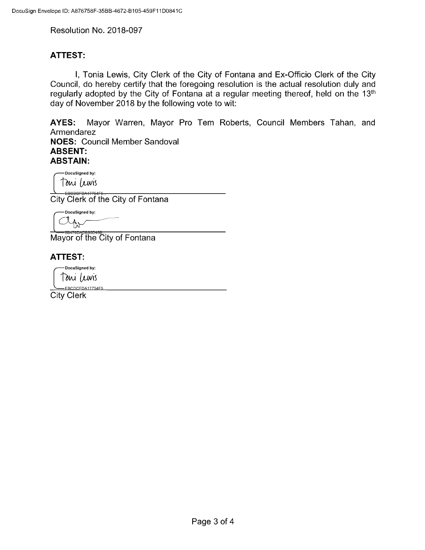Resolution No. 2018-097

### ATTEST:

I, Tonia Lewis, City Clerk of the City of Fontana and Ex- Officio Clerk of the City Council, do hereby certify that the foregoing resolution is the actual resolution duly and regularly adopted by the City of Fontana at a regular meeting thereof, held on the 13<sup>th</sup> day of November 2018 by the following vote to wit:

AYES: Mayor Warren, Mayor Pro Tem Roberts, Council Members Tahan, and Armendarez

NOES: Council Member Sandoval ABSENT: ABSTAIN:

DocuSigned by: Toni Lewis

EDSENSOFT BAT7754F5...<br>City Clerk of the City of Fontana

DocuSigned by:

9B<del>476DAD890D</del> Mayor of the City of Fontana

### ATTEST:

DocuSigned by: Toni Lewis

LebcDCFDA17754 City Clerk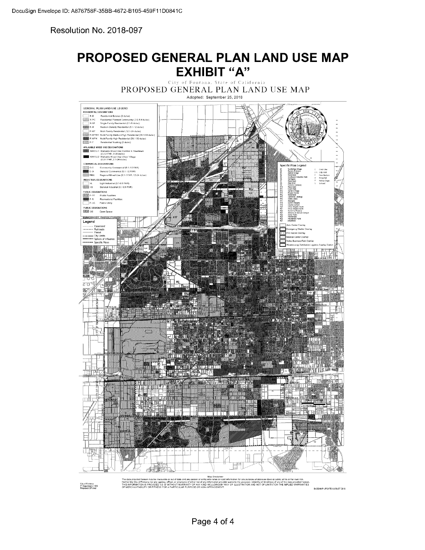Resolution No. 2018-097

# PROPOSED GENERAL PLAN LAND USE MAP EXHIBIT "A"

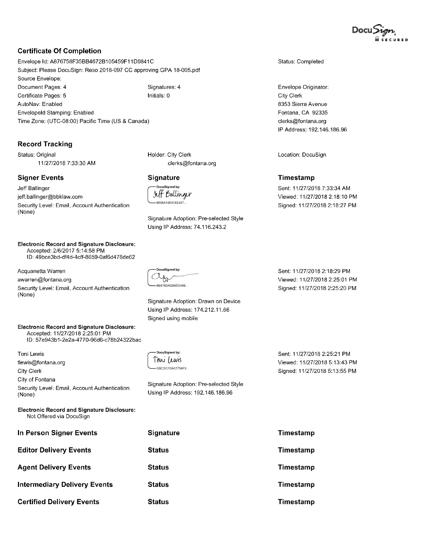

### Certificate Of Completion

Envelope Id: A876758F35BB4672B105459F11D0841C Subject: Please DocuSign: Reso 2018-097 CC approving GPA 18-005.pdf Source Envelope: Document Pages: 4 Signatures: 4 Certificate Pages: 5 Initials: 0 AutoNav: Enabled Envelopeld Stamping: Enabled Time Zone: (UTC-08:00) Pacific Time (US & Canada)

### Record Tracking

Status: Original 11/27/2018 7:33:30 AM

### Signer Events

Jeff Ballinger

None)

jeff. ballinger@bbklaw. com Security Level: Email, Account Authentication

### Electronic Record and Signature Disclosure: Accepted: 2/6/2017 5:14:58 PM

ID: 49bce3bd- df4d- 4cff- 8659- 0af6d478de62

Acquanetta Warren

awarren@fontana. org

Security Level: Email, Account Authentication None)

### Electronic Record and Signature Disclosure: Accepted: 11/27/2018 2:25:01 PM

ID: 57e943b1- 2e2a-4770-96d6-c78b24322bac

Toni Lewis tlewis@fontana. org City Clerk City of Fontana Security Level: Email, Account Authentication None)

Electronic Record and Signature Disclosure: Not Offered via DocuSign

| In Person Signer Events             | <b>Signature</b> |
|-------------------------------------|------------------|
| <b>Editor Delivery Events</b>       | Status           |
| <b>Agent Delivery Events</b>        | Status           |
| <b>Intermediary Delivery Events</b> | <b>Status</b>    |
| <b>Certified Delivery Events</b>    | Status           |

Holder: City Clerk clerks@fontana. org

### **Signature**

DocuSigned by: Jeff Ballinger 9656A1483C6E407...

Signature Adoption: Pre -selected Style Using IP Address: 74. 116. 243. 2

C<sub>9B476DADB90D46B</sub> DocuSigned by:

Signature Adoption: Drawn on Device Using IP Address: 174. 212. 11. 66 Signed using mobile

COCFDA17754F5... DocuSigned by: Toni Luvis

Signature Adoption: Pre - selected Style Using IP Address: 192. 146. 186. 96

Sent: 11/27/2018 2:18:29 PM Viewed: 11/27/2018 2:25:01 PM Signed: 11/27/2018 2:25:20 PM

Status: Completed

Envelope Originator:

8353 Sierra Avenue Fontana, CA 92335 clerks@fontana. org IP Address: 192. 146. 186. 96

Location: DocuSign

Sent: 11/27/2018 7:33:34 AM Viewed: 11/27/2018 2:18:10 PM Signed: 11/27/2018 2:18:27 PM

Timestamp

City Clerk

Sent: 11/27/2018 2:25:21 PM Viewed: 11/27/2018 5:13:43 PM Signed: 11/27/2018 5:13:55 PM

Timestamp Timestamp Timestamp Timestamp Timestamp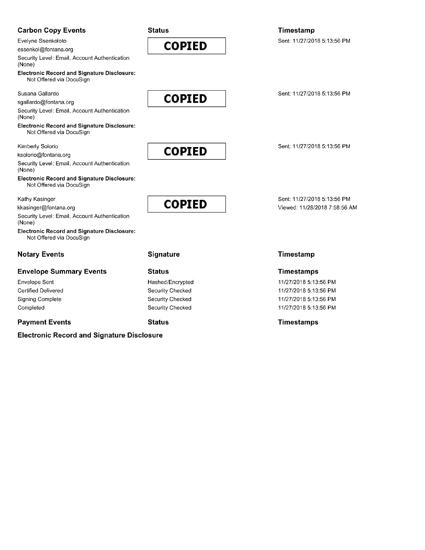### Carbon Copy Events

Evelyne Ssenkoloto

essenkol@fontana. org

Security Level: Email, Account Authentication None)

Electronic Record and Signature Disclosure: Not Offered via DocuSign

Susana Gallardo

sgallardo@fontana. org

Security Level: Email, Account Authentication None)

Electronic Record and Signature Disclosure: Not Offered via DocuSign

Kimberly Solorio

ksolorio@fontana. org

Security Level: Email, Account Authentication None)

Electronic Record and Signature Disclosure: Not Offered via DocuSign

Kathy Kasinger

kkasinger@fontana. org

Security Level: Email, Account Authentication None)

Electronic Record and Signature Disclosure: Not Offered via DocuSign

### Notary Events Signature Timestamp

### Envelope Summary Events Status Timestamps

### Electronic Record and Signature Disclosure

**Status** 

# COPIED

COPIED

## Timestamp

Sent: 11/27/2018 5:13:56 PM

Sent: 11/27/2018 5:13:56 PM

Sent: 11/27/2018 5:13:56 PM

Sent: 11/27/2018 5:13:56 PM Viewed: 11/28/2018 7:58:56 AM

Envelope Sent **Accord 2018 11/27/2018 5:13:56 PM** Hashed/Encrypted **11/27/2018 5:13:56 PM** Certified Delivered **Security Checked** 11/27/2018 5:13:56 PM Signing Complete Security Checked 11/27/2018 5:13:56 PM Completed Completed Security Checked 31/27/2018 5:13:56 PM

Payment Events **Status** Status **Status** Status Timestamps

COPIED

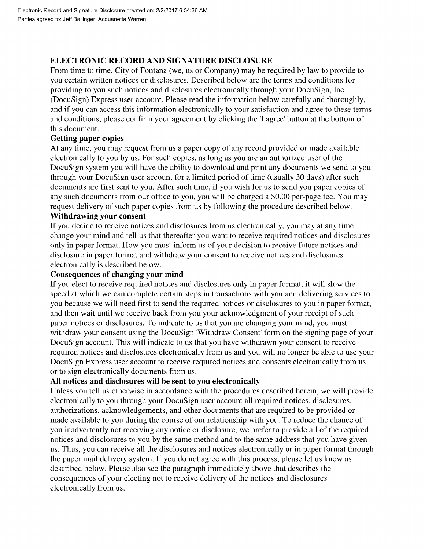### ELECTRONIC RECORD AND SIGNATURE DISCLOSURE

From time to time, City of Fontana ( we, us or Company) may be required by law to provide to you certain written notices or disclosures. Described below are the terms and conditions for providing to you such notices and disclosures electronically through your DocuSign, Inc. DocuSign) Express user account. Please read the information below carefully and thoroughly, and if you can access this information electronically to your satisfaction and agree to these terms and conditions, please confirm your agreement by clicking the 'I agree' button at the bottom of this document.

### Getting paper copies

At any time, you may request from us a paper copy of any record provided or made available electronically to you by us. For such copies, as long as you are an authorized user of the DocuSign system you will have the ability to download and print any documents we send to you through your DocuSign user account for a limited period of time (usually 30 days) after such documents are first sent to you. After such time, if you wish for us to send you paper copies of any such documents from our office to you, you will be charged a \$0.00 per-page fee. You may request delivery of such paper copies from us by following the procedure described below.

### Withdrawing your consent

If you decide to receive notices and disclosures from us electronically, you may at any time change your mind and tell us that thereafter you want to receive required notices and disclosures only in paper format. How you must inform us of your decision to receive future notices and disclosure in paper format and withdraw your consent to receive notices and disclosures electronically is described below.

### Consequences of changing your mind

If you elect to receive required notices and disclosures only in paper format, it will slow the speed at which we can complete certain steps in transactions with you and delivering services to you because we will need first to send the required notices or disclosures to you in paper format, and then wait until we receive back from you your acknowledgment of your receipt of such paper notices or disclosures. To indicate to us that you are changing your mind, you must withdraw your consent using the DocuSign 'Withdraw Consent' form on the signing page of your DocuSign account. This will indicate to us that you have withdrawn your consent to receive required notices and disclosures electronically from us and you will no longer be able to use your DocuSign Express user account to receive required notices and consents electronically from us or to sign electronically documents from us.

### All notices and disclosures will be sent to you electronically

Unless you tell us otherwise in accordance with the procedures described herein, we will provide electronically to you through your DocuSign user account all required notices, disclosures, authorizations, acknowledgements, and other documents that are required to be provided or made available to you during the course of our relationship with you. To reduce the chance of you inadvertently not receiving any notice or disclosure, we prefer to provide all of the required notices and disclosures to you by the same method and to the same address that you have given us. Thus, you can receive all the disclosures and notices electronically or in paper format through the paper mail delivery system. If you do not agree with this process, please let us know as described below. Please also see the paragraph immediately above that describes the consequences of your electing not to receive delivery of the notices and disclosures electronically from us.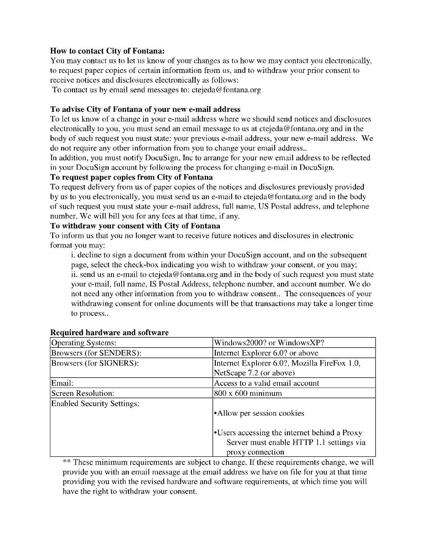### How to contact City of Fontana:

You may contact us to let us know of your changes as to how we may contact you electronically, to request paper copies of certain information from us, and to withdraw your prior consent to receive notices and disclosures electronically as follows:

To contact us by email send messages to: ctejeda@fontana. org

### To advise City of Fontana of your new e- mail address

To let us know of a change in your e- mail address where we should send notices and disclosures electronically to you, you must send an email message to us at ctejeda@fontana. org and in the body of such request you must state: your previous e- mail address, your new e- mail address. We do not require any other information from you to change your email address..

In addition, you must notify DocuSign, Inc to arrange for your new email address to be reflected in your DocuSign account by following the process for changing e- mail in DocuSign.

### To request paper copies from City of Fontana

To request delivery from us of paper copies of the notices and disclosures previously provided by us to you electronically, you must send us an e- mail to ctejeda@fontana. org and in the body of such request you must state your e- mail address, full name, US Postal address, and telephone number. We will bill you for any fees at that time, if any.

### To withdraw your consent with City of Fontana

To inform us that you no longer want to receive future notices and disclosures in electronic format you may:

i. decline to sign a document from within your DocuSign account, and on the subsequent page, select the check -box indicating you wish to withdraw your consent, or you may; ii. send us an e- mail to ctejeda@fontana. org and in the body of such request you must state your e- mail, full name, IS Postal Address, telephone number, and account number. We do not need any other information from you to withdraw consent.. The consequences of your withdrawing consent for online documents will be that transactions may take a longer time to process..

| <b>Operating Systems:</b>         | Windows2000? or WindowsXP?                   |
|-----------------------------------|----------------------------------------------|
| Browsers (for SENDERS):           | Internet Explorer 6.0? or above              |
| Browsers (for SIGNERS):           | Internet Explorer 6.0?, Mozilla FireFox 1.0, |
|                                   | NetScape 7.2 (or above)                      |
| Email:                            | Access to a valid email account              |
| Screen Resolution:                | $800 \times 600$ minimum                     |
| <b>Enabled Security Settings:</b> |                                              |
|                                   | •Allow per session cookies                   |
|                                   | •Users accessing the internet behind a Proxy |
|                                   | Server must enable HTTP 1.1 settings via     |
|                                   | proxy connection                             |

### Required hardware and software

These minimum requirements are subject to change. If these requirements change, we will provide you with an email message at the email address we have on file for you at that time providing you with the revised hardware and software requirements, at which time you will have the right to withdraw your consent.